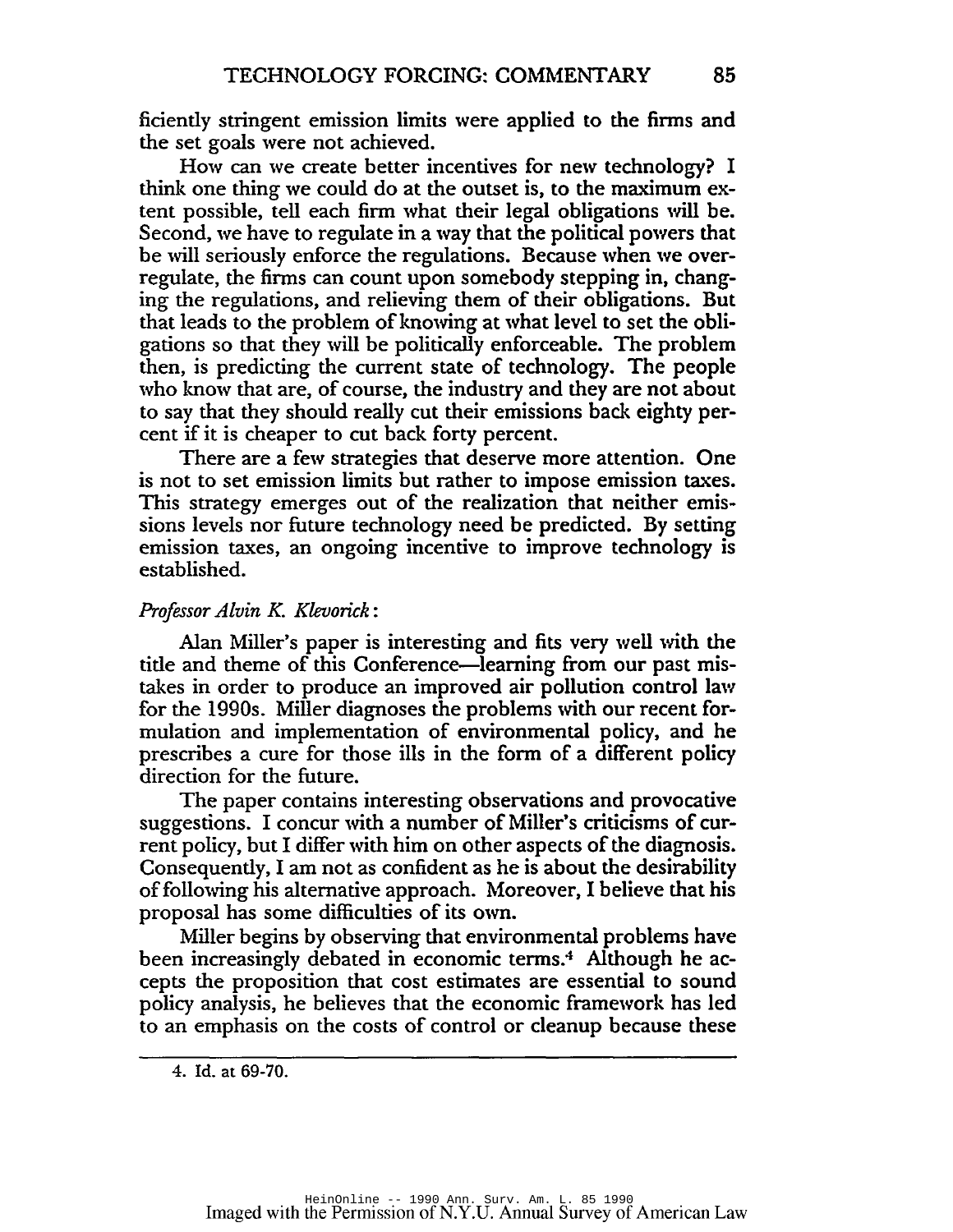ficiendy stringent emission limits were applied to the firms and the set goals were not achieved.

How can we create better incentives for new technology? I think one thing we could do at the outset is. to the maximum extent possible. tell each firm what their legal obligations will be. Second, we have to regulate in a way that the political powers that be will seriously enforce the regulations. Because when we overregulate, the firms can count upon somebody stepping in. changing the regulations. and relieving them of their obligations. But that leads to the problem of knowing at what level to set the obligations so that they will be politically enforceable. The problem then, is predicting the current state of technology. The people who know that are, of course. the industry and they are not about to say that they should really cut their emissions back eighty percent if it is cheaper to cut back forty percent.

There are a few strategies that deserve more attention. One is not to set emission limits but rather to impose emission taxes. This strategy emerges out of the realization that neither emissions levels nor future technology need be predicted. By setting emission taxes, an ongoing incentive to improve technology is established.

# *Professor Alvin K. Klevorick:*

Alan Miller's paper is interesting and fits very well with the tide and theme of this Conference-learning from our past mistakes in order to produce an improved air pollution control law for the 1990s. Miller diagnoses the problems with our recent formulation and implementation of environmental policy. and he prescribes a cure for those ills in the form of a different policy direction for the future.

The paper contains interesting observations and provocative suggestions. I concur with a number of Miller's criticisms of current policy, but I differ with him on other aspects of the diagnosis. Consequendy, I am not as confident as he is about the desirability of following his alternative approach. Moreover, I believe that his proposal has some difficulties of its own.

Miller begins by observing that environmental problems have been increasingly debated in economic terms.<sup>4</sup> Although he accepts the proposition that cost estimates are essential to sound policy analysis, he believes that the economic framework has led to an emphasis on the costs of control or cleanup because these

<sup>4.</sup> Id. at 69-70.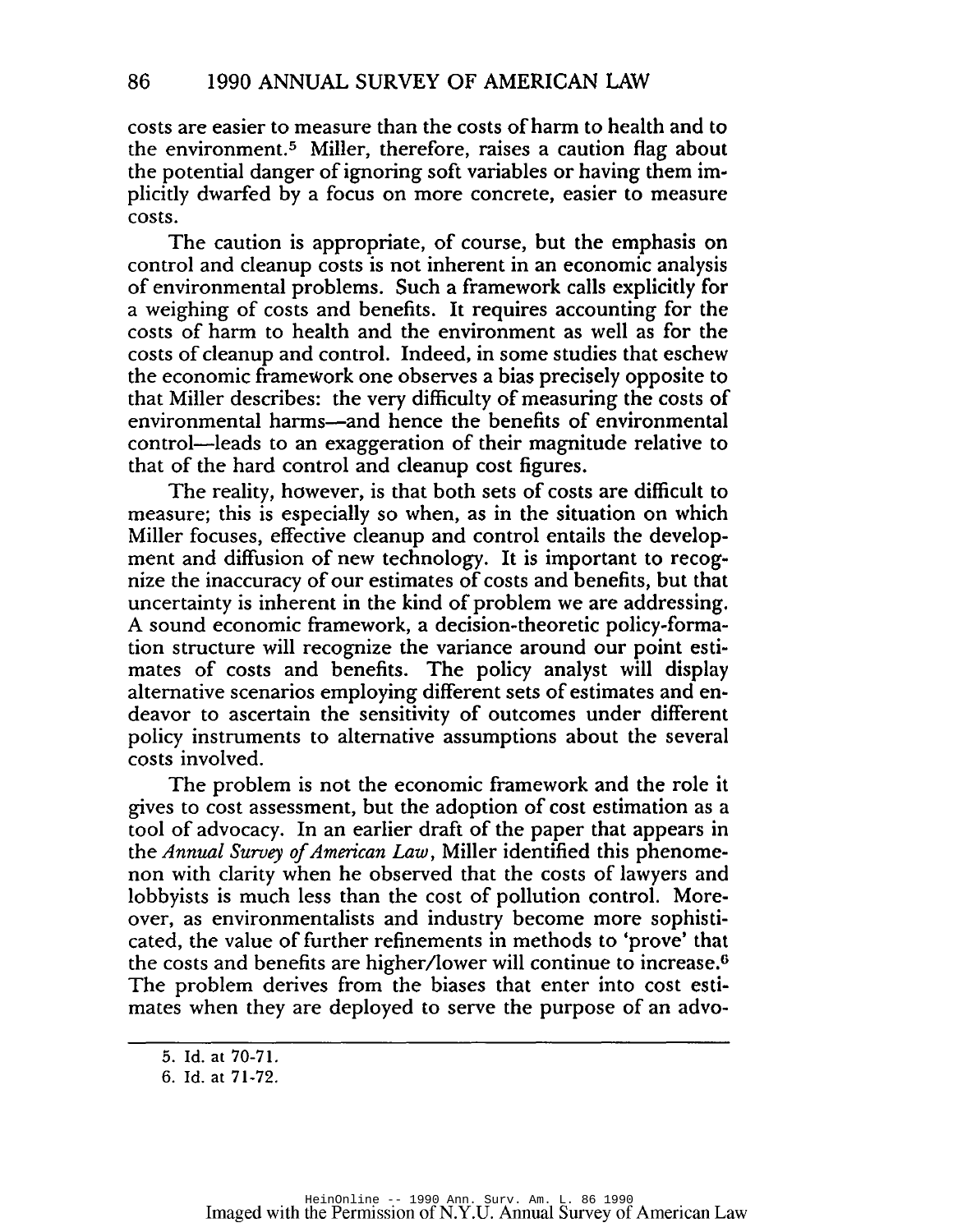costs are easier to measure than the costs ofharm to health and to the environment.5 Miller, therefore, raises a caution flag about the potential danger of ignoring soft variables or having them implicitly dwarfed by a focus on more concrete, easier to measure costs.

The caution is appropriate, of course, but the emphasis on control and cleanup costs is not inherent in an economic analysis of environmental problems. Such a framework calls explicitly for a weighing of costs and benefits. It requires accounting for the costs of harm to health and the environment as well as for the costs of cleanup and control. Indeed, in some studies that eschew the economic framework one observes a bias precisely opposite to that Miller describes: the very difficulty of measuring the costs of environmental harms-and hence the benefits of environmental control-leads to an exaggeration of their magnitude relative to that of the hard control and cleanup cost figures.

The reality, however, is that both sets of costs are difficult to measure; this is especially so when, as in the situation on which Miller focuses, effective cleanup and control entails the development and diffusion of new technology. It is important to recognize the inaccuracy of our estimates of costs and benefits, but that uncertainty is inherent in the kind of problem we are addressing. A sound economic framework, a decision-theoretic policy-formation structure will recognize the variance around our point estimates of costs and benefits. The policy analyst will display alternative scenarios employing different sets of estimates and endeavor to ascertain the sensitivity of outcomes under different policy instruments to alternative assumptions about the several costs involved.

The problem is not the economic framework and the role it gives to cost assessment, but the adoption of cost estimation as a tool of advocacy. In an earlier draft of the paper that appears in the *Annual Survey ofAmerican Law,* Miller identified this phenomenon with clarity when he observed that the costs of lawyers and lobbyists is much less than the cost of pollution control. Moreover, as environmentalists and industry become more sophisticated, the value of further refinements in methods to 'prove' that the costs and benefits are higher/lower will continue to increase.<sup>6</sup> The problem derives from the biases that enter into cost estimates when they are deployed to serve the purpose of an advo-

<sup>5.</sup> Id. at 70-71.

<sup>6.</sup> Id. at 71-72.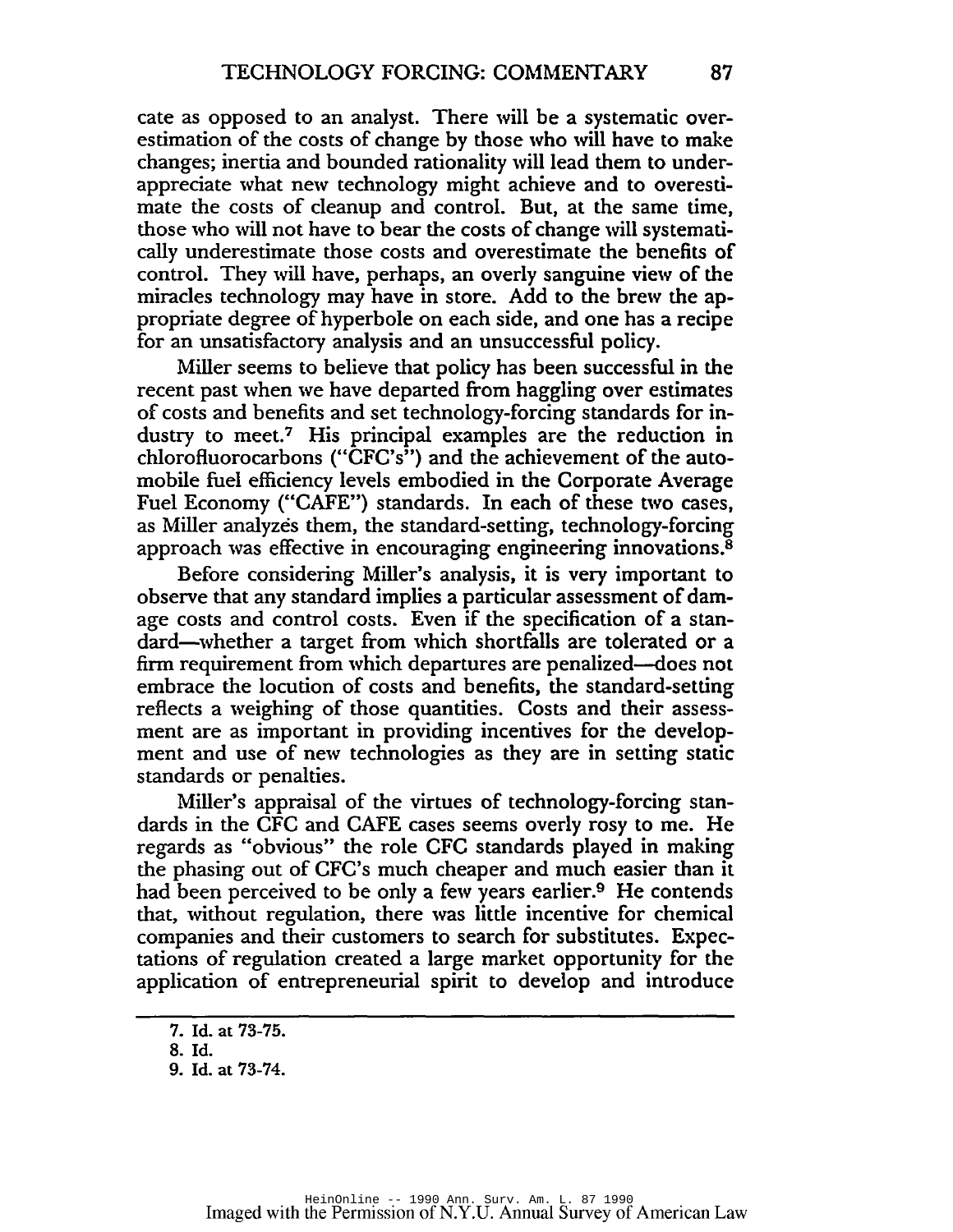cate as opposed to an analyst. There will be a systematic overestimation of the costs of change by those who will have to make changes; inertia and bounded rationality will lead them to underappreciate what new technology might achieve and to overestimate the costs of cleanup and control. But, at the same time, those who will not have to bear the costs of change will systematically underestimate those costs and overestimate the benefits of control. They will have, perhaps, an overly sanguine view of the miracles technology may have in store. Add to the brew the appropriate degree of hyperbole on each side, and one has a recipe for an unsatisfactory analysis and an unsuccessful policy.

Miller seems to believe that policy has been successful in the recent past when we have departed from haggling over estimates of costs and benefits and set technology-forcing standards for industry to meet.7 His principal examples are the reduction in chlorofluorocarbons ("CFC's") and the achievement of the automobile fuel efficiency levels embodied in the Corporate Average Fuel Economy ("CAFE") standards. In each of these two cases, as Miller analyzes them, the standard-setting, technology-forcing approach was effective in encouraging engineering innovations.8

Before considering Miller's analysis, it is very important to observe that any standard implies a particular assessment of damage costs and control costs. Even if the specification of a standard-whether a target from which shortfalls are tolerated or a firm requirement from which departures are penalized—does not embrace the locution of costs and benefits, the standard-setting reflects a weighing of those quantities. Costs and their assessment are as important in providing incentives for the development and use of new technologies as they are in setting static standards or penalties.

Miller's appraisal of the virtues of technology-forcing standards in the CFC and CAFE cases seems overly rosy to me. He regards as "obvious" the role CFC standards played in making the phasing out of CFC's much cheaper and much easier than it had been perceived to be only a few years earlier.<sup>9</sup> He contends that, without regulation, there was little incentive for chemical companies and their customers to search for substitutes. Expectations of regulation created a large market opportunity for the application of entrepreneurial spirit to develop and introduce

<sup>7.</sup> Id. at 73-75.

<sup>8.</sup> Id.

<sup>9.</sup> Id. at 73-74.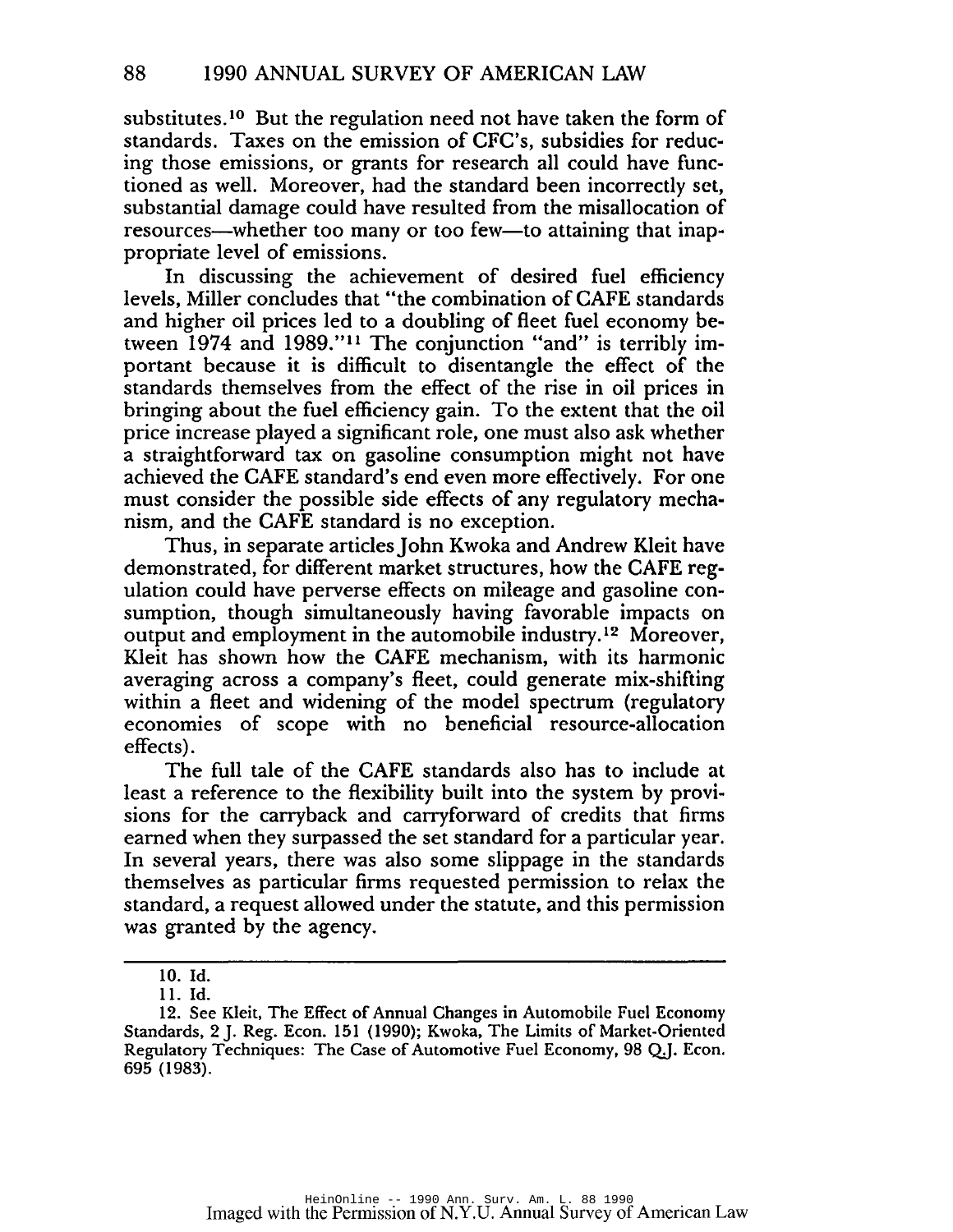substitutes.<sup>10</sup> But the regulation need not have taken the form of standards. Taxes on the emission of CFC's, subsidies for reduc~ ing those emissions, or grants for research all could have functioned as well. Moreover, had the standard been incorrectly set, substantial damage could have resulted from the misallocation of resources—whether too many or too few—to attaining that inappropriate level of emissions.

In discussing the achievement of desired fuel efficiency levels, Miller concludes that "the combination of CAFE standards and higher oil prices led to a doubling of fleet fuel economy be~ tween 1974 and 1989."11 The conjunction "and" is terribly important because it is difficult to disentangle the effect of the standards themselves from the effect of the rise in oil prices in bringing about the fuel efficiency gain. To the extent that the oil price increase played a significant role, one must also ask whether a straightforward tax on gasoline consumption might not have achieved the CAFE standard's end even more effectively. For one must consider the possible side effects of any regulatory mecha~ nism, and the CAFE standard is no exception.

Thus, in separate articles]ohn Kwoka and Andrew Kleit have demonstrated, for different market structures, how the CAFE regulation could have perverse effects on mileage and gasoline con~ sumption, though simultaneously having favorable impacts on output and employment in the automobile industry. <sup>12</sup> Moreover, Kleit has shown how the CAFE mechanism, with its harmonic averaging across a company's fleet, could generate mix~shifting within a fleet and widening of the model spectrum (regulatory economies of scope with no beneficial resource-allocation effects).

The full tale of the CAFE standards also has to include at least a reference to the flexibility built into the system by provisions for the carryback and carryforward of credits that firms earned when they surpassed the set standard for a particular year. In several years, there was also some slippage in the standards themselves as particular firms requested permission to relax the standard, a request allowed under the statute, and this permission was granted by the agency.

<sup>10.</sup> Id.

<sup>11.</sup> Id.

<sup>12.</sup> See Kleit, The Effect of Annual Changes in Automobile Fuel Economy Standards, 2 J. Reg. Econ. 151 (1990); Kwoka, The Limits of Market-Oriented Regulatory Techniques: The Case of Automotive Fuel Economy, 98 QJ. Econ. 695 (1983).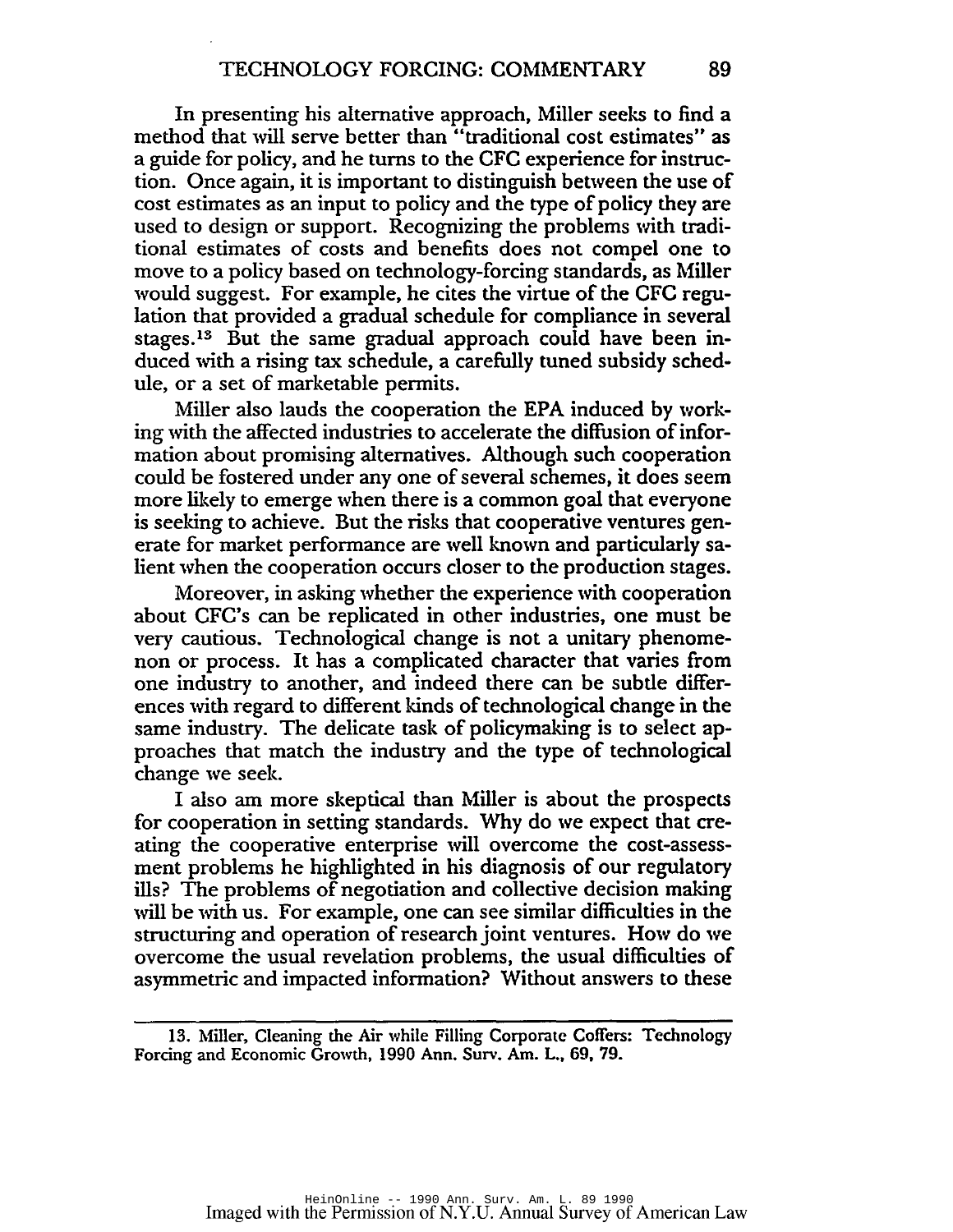In presenting his alternative approach, Miller seeks to find a method that will serve better than "traditional cost estimates" as a guide for policy, and he turns to the CFC experience for instruction. Once again, it is important to distinguish between the use of cost estimates as an input to policy and the type of policy they are used to design or support. Recognizing the problems with traditional estimates of costs and benefits does not compel one to move to a policy based on technology-forcing standards, as Miller would suggest. For example, he cites the virtue of the CFC regulation that provided a gradual schedule for compliance in several stages.<sup>13</sup> But the same gradual approach could have been induced with a rising tax schedule, a carefully tuned subsidy schedule, or a set of marketable permits.

Miller also lauds the cooperation the EPA induced by working with the affected industries to accelerate the diffusion of information about promising alternatives. Although such cooperation could be fostered under any one of several schemes, it does seem more likely to emerge when there is a common goal that everyone is seeking to achieve. But the risks that cooperative ventures generate for market performance are well known and particularly salient when the cooperation occurs closer to the production stages.

Moreover, in asking whether the experience with cooperation about CFC's can be replicated in other industries, one must be very cautious. Technological change is not a unitary phenomenon or process. It has a complicated character that varies from one industry to another, and indeed there can be subtle differences with regard to different kinds of technological change in the same industry. The delicate task of policymaking is to select approaches that match the industry and the type of technological change we seek.

I also am more skeptical than Miller is about the prospects for cooperation in setting standards. Why do we expect that creating the cooperative enterprise will overcome the cost-assessment problems he highlighted in his diagnosis of our regulatory ills? The problems of negotiation and collective decision making will be with us. For example, one can see similar difficulties in the structuring and operation ofresearch joint ventures. How do we overcome the usual revelation problems, the usual difficulties of asymmetric and impacted information? Without answers to these

<sup>13.</sup> Miller, Cleaning the Air while Filling Corporate Coffers: Technology Forcing and Economic Growth, 1990 Ann. Surv. Am. L., 69, 79.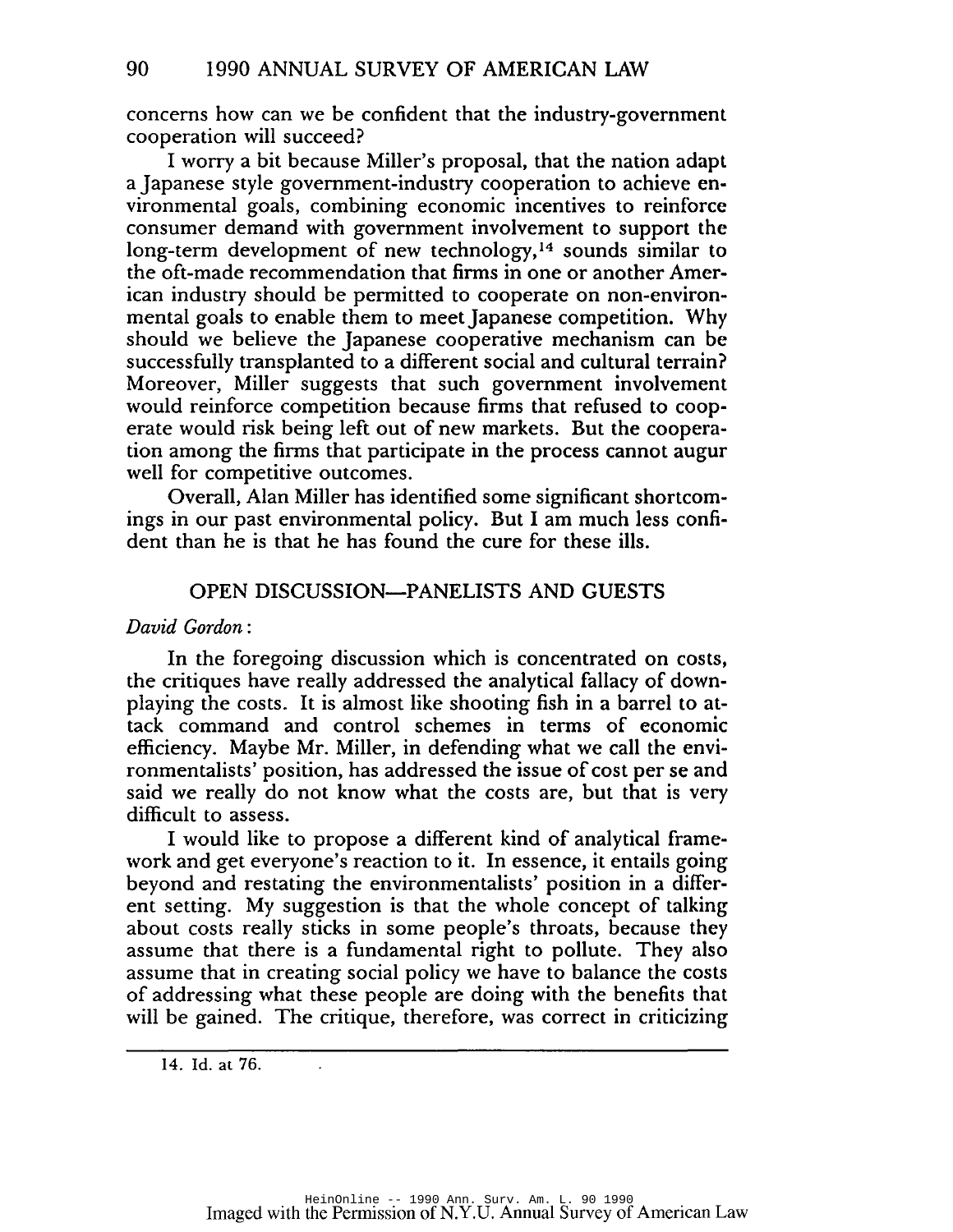concerns how can we be confident that the industry-government cooperation will succeed?

I worry a bit because Miller's proposal, that the nation adapt a Japanese style government-industry cooperation to achieve environmental goals, combining economic incentives to reinforce consumer demand with government involvement to support the long-term development of new technology,14 sounds similar to the oft-made recommendation that firms in one or another American industry should be permitted to cooperate on non-environmental goals to enable them to meet Japanese competition. Why should we believe the Japanese cooperative mechanism can be successfully transplanted to a different social and cultural terrain? Moreover, Miller suggests that such government involvement would reinforce competition because firms that refused to cooperate would risk being left out of new markets. But the cooperation among the firms that participate in the process cannot augur well for competitive outcomes.

Overall, Alan Miller has identified some significant shortcomings in our past environmental policy. But I am much less confident than he is that he has found the cure for these ills.

# OPEN DISCUSSION-PANELISTS AND GUESTS

### *David Gordon:*

In the foregoing discussion which is concentrated on costs, the critiques have really addressed the analytical fallacy of downplaying the costs. It is almost like shooting fish in a barrel to attack command and control schemes in terms of economic efficiency. Maybe Mr. Miller, in defending what we call the environmentalists' position, has addressed the issue of cost per se and said we really do not know what the costs are, but that is very difficult to assess.

I would like to propose a different kind of analytical framework and get everyone's reaction to it. In essence, it entails going beyond and restating the environmentalists' position in a different setting. My suggestion is that the whole concept of talking about costs really sticks in some people's throats, because they assume that there is a fundamental right to pollute. They also assume that in creating social policy we have to balance the costs of addressing what these people are doing with the benefits that will be gained. The critique, therefore, was correct in criticizing

<sup>14.</sup> Id. at 76.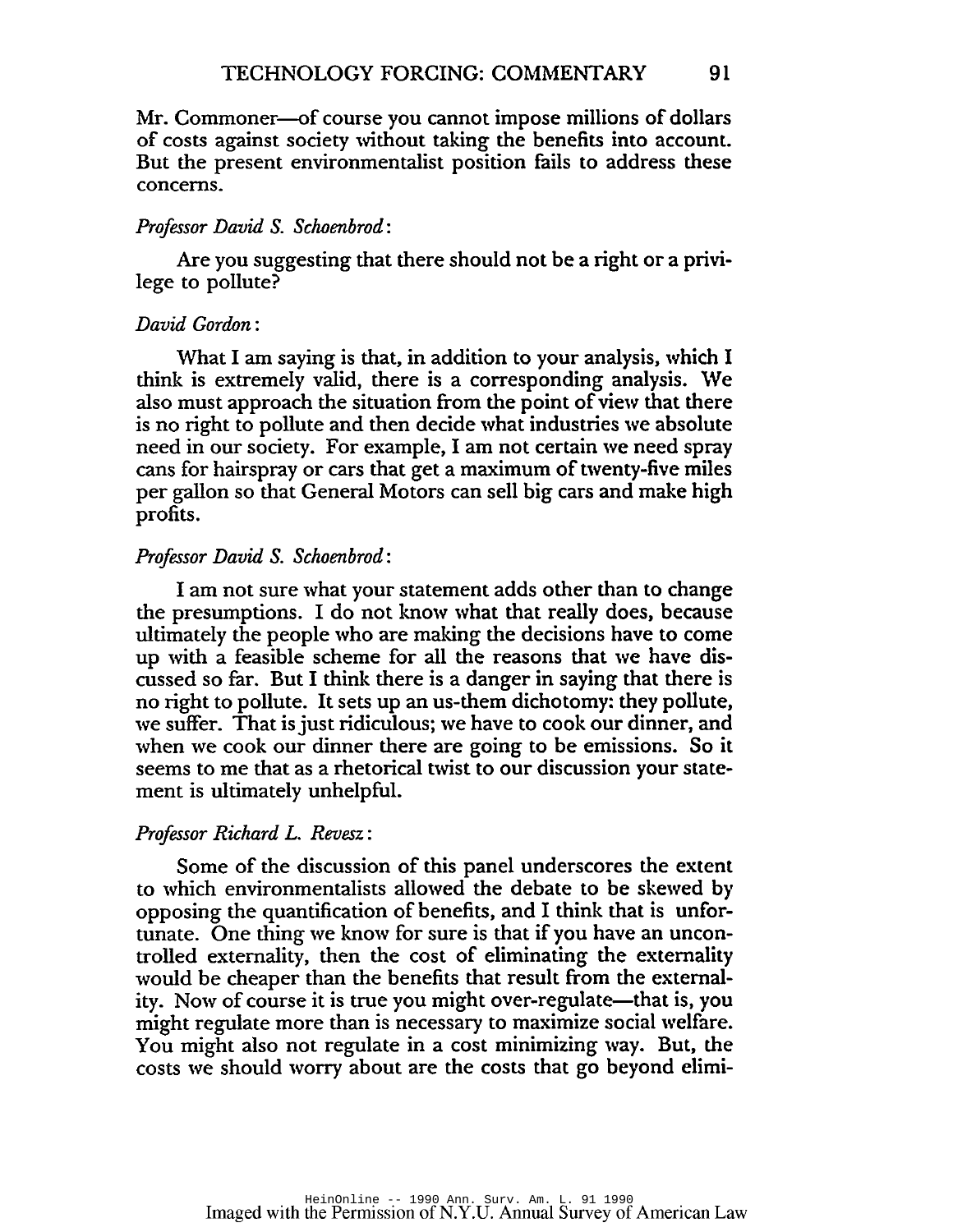Mr. Commoner-of course you cannot impose millions of dollars of costs against society without taking the benefits into account. But the present environmentalist position fails to address these concerns.

#### *Professor David* S. *Schoenbrod:*

Are you suggesting that there should not be a right or a privilege to pollute?

#### *David Gordon:*

What I am saying is that, in addition to your analysis, which I think is extremely valid, there is a corresponding analysis. \Ve also must approach the situation from the point of view that there is no right to pollute and then decide what industries we absolute need in our society. For example, I am not certain we need spray cans for hairspray or cars that get a maximum of twenty-five miles per gallon so that General Motors can sell big cars and make high profits.

#### *Professor David* S. *Schoenbrod:*

I am not sure what your statement adds other than to change the presumptions. I do not know what that really does, because ultimately the people who are making the decisions have to come up with a feasible scheme for all the reasons that we have discussed so far. But I think there is a danger in saying that there is no right to pollute. It sets up an us-them dichotomy: they pollute, we suffer. That is just ridiculous; we have to cook our dinner, and when we cook our dinner there are going to be emissions. So it seems to me that as a rhetorical twist to our discussion your statement is ultimately unhelpful.

#### *Professor Richard L. Revesz:*

Some of the discussion of this panel underscores the extent to which environmentalists allowed the debate to be skewed by opposing the quantification of benefits, and I think that is unfortunate. One thing we know for sure is that if you have an uncontrolled externality, then the cost of eliminating the externality would be cheaper than the benefits that result from the externality. Now of course it is true you might over-regulate—that is, you might regulate more than is necessary to maximize social welfare. You might also not regulate in a cost minimizing way. But, the costs we should worry about are the costs that go beyond elimi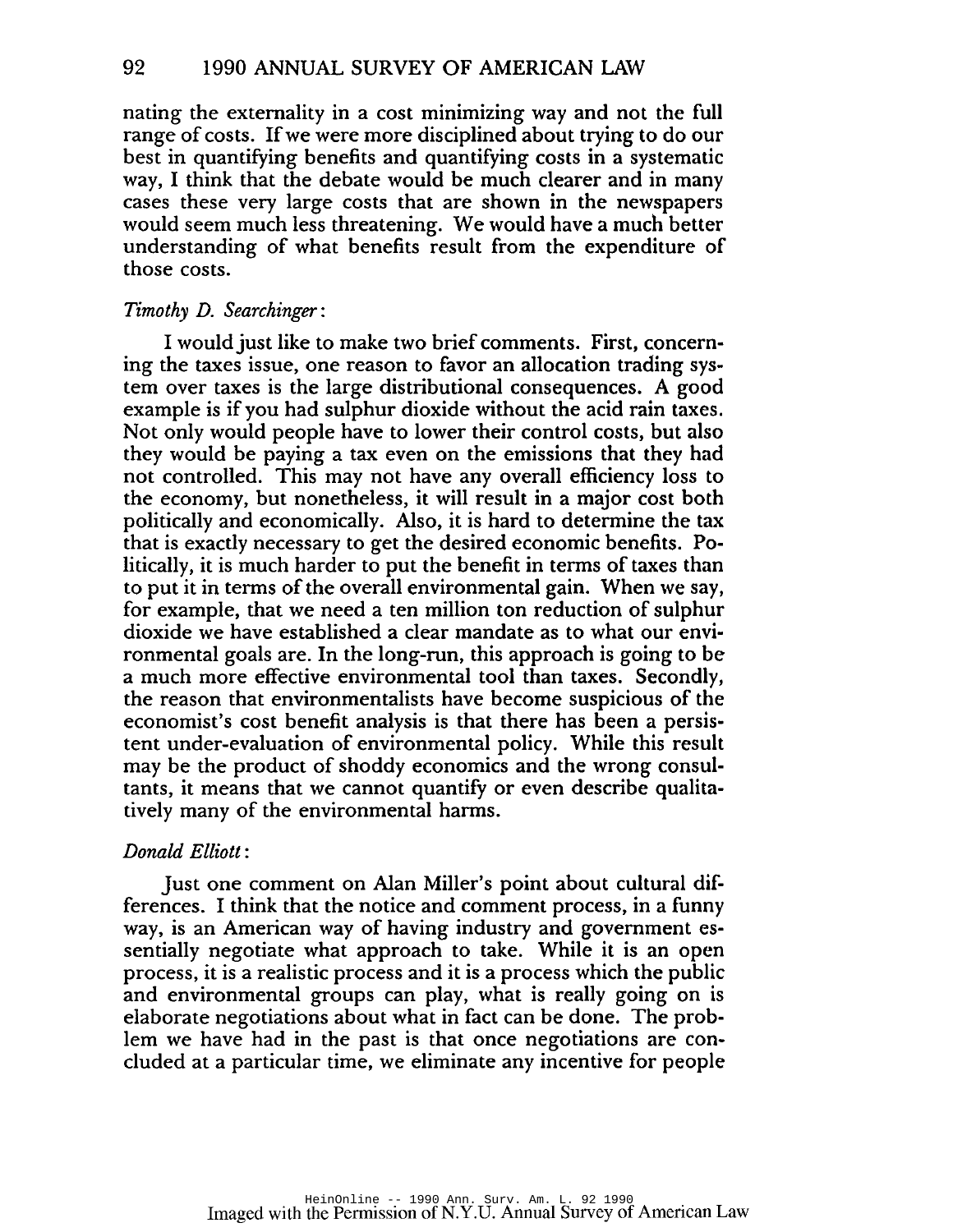nating the externality in a cost minimizing way and not the full range of costs. If we were more disciplined about trying to do our best in quantifying benefits and quantifying costs in a systematic way, I think that the debate would be much clearer and in many cases these very large costs that are shown in the newspapers would seem much less threatening. We would have a much better understanding of what benefits result from the expenditure of those costs.

## *Timothy D. Searchinger:*

I would just like to make two brief comments. First, concerning the taxes issue, one reason to favor an allocation trading system over taxes is the large distributional consequences. A good example is if you had sulphur dioxide without the acid rain taxes. Not only would people have to lower their control costs, but also they would be paying a tax even on the emissions that they had not controlled. This may not have any overall efficiency loss to the economy, but nonetheless, it will result in a major cost both politically and economically. Also, it is hard to determine the tax that is exactly necessary to get the desired economic benefits. Politically, it is much harder to put the benefit in terms of taxes than to put it in terms of the overall environmental gain. When we say, for example, that we need a ten million ton reduction of sulphur dioxide we have established a clear mandate as to what our environmental goals are. In the long-run, this approach is going to be a much more effective environmental tool than taxes. Secondly, the reason that environmentalists have become suspicious of the economist's cost benefit analysis is that there has been a persistent under-evaluation of environmental policy. While this result may be the product of shoddy economics and the wrong consultants, it means that we cannot quantify or even describe qualitatively many of the environmental harms.

### *Donald Elliott* :

Just one comment on Alan Miller's point about cultural differences. I think that the notice and comment process, in a funny way, is an American way of having industry and government essentially negotiate what approach to take. While it is an open process, it is a realistic process and it is a process which the public and environmental groups can play, what is really going on is elaborate negotiations about what in fact can be done. The problem we have had in the past is that once negotiations are concluded at a particular time, we eliminate any incentive for people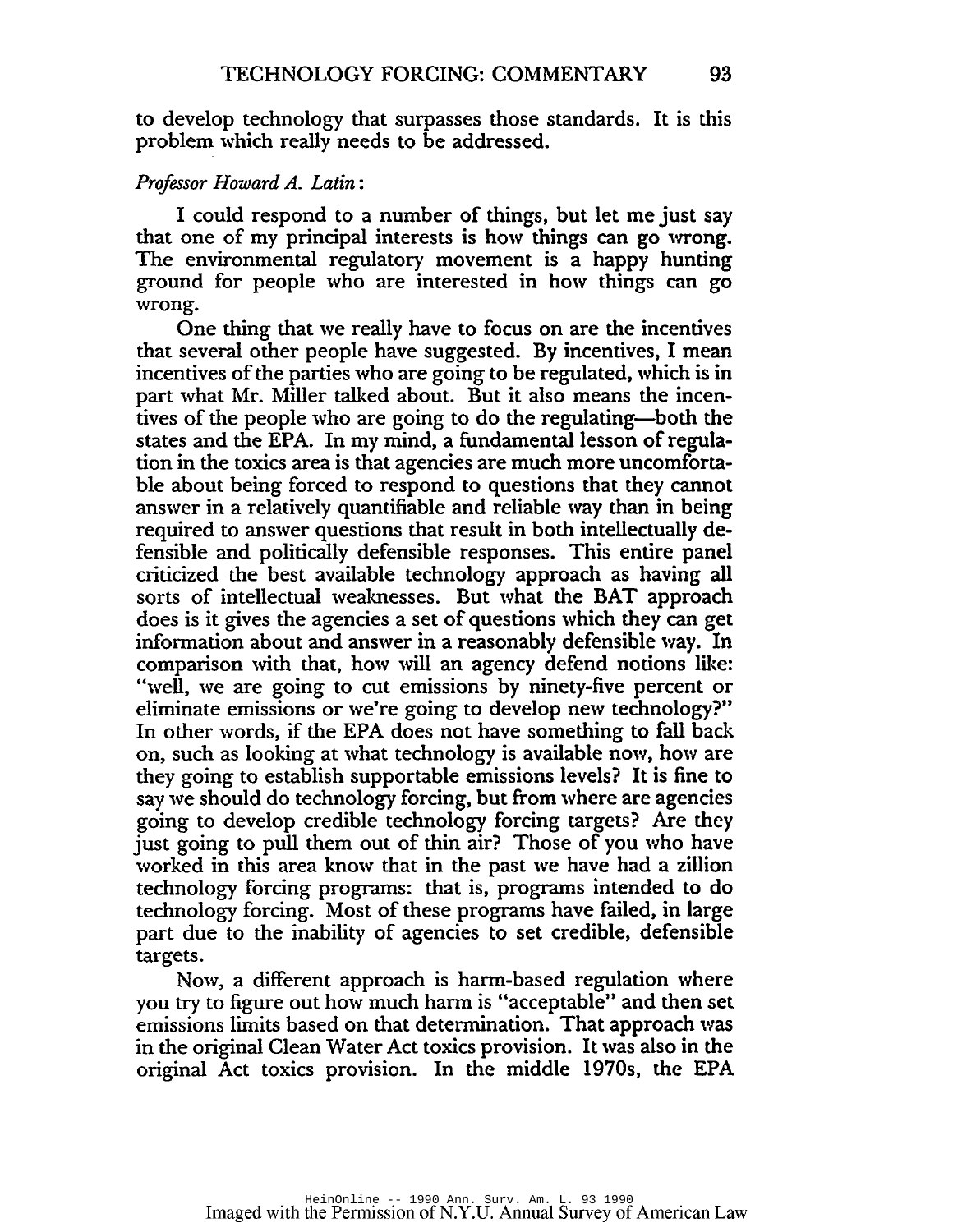to develop technology that surpasses those standards. It is this problem which really needs to be addressed.

# *Prcifessor Howard A. Latin:*

I could respond to a number of things, but let me just say that one of my principal interests is how things can go wrong. The environmental regulatory movement is a happy hunting ground for people who are interested in how things can go wrong.

One thing that we really have to focus on are the incentives that several other people have suggested. By incentives, I mean incentives of the parties who are going to be regulated, which is in part what Mr. Miller talked about. But it also means the incentives of the people who are going to do the regulating-both the states and the EPA. In my mind, a fundamental lesson of regulation in the toxics area is that agencies are much more uncomfortable about being forced to respond to questions that they cannot answer in a relatively quantifiable and reliable way than in being required to answer questions that result in both intellectually defensible and politically defensible responses. This entire panel criticized the best available technology approach as having all sorts of intellectual weaknesses. But what the BAT approach does is it gives the agencies a set of questions which they can get information about and answer in a reasonably defensible way. In comparison with that, how will an agency defend notions like: "well, we are going to cut emissions by ninety-five percent or eliminate emissions or we're going to develop new technology?" In other words, if the EPA does not have something to fall back on, such as looking at what technology is available now, how are they going to establish supportable emissions levels? It is fine to say we should do technology forcing, but from where are agencies going to develop credible technology forcing targets? Are they just going to pull them out of thin air? Those of you who have worked in this area know that in the past we have had a zillion technology forcing programs: that is, programs intended to do technology forcing. Most of these programs have failed, in large part due to the inability of agencies to set credible, defensible targets.

Now, a different approach is harm-based regulation where you try to figure out how much harm is "acceptable" and then set emissions limits based on that determination. That approach was in the original Clean Water Act toxies provision. It was also in the original Act toxics provision. In the middle 1970s, the EPA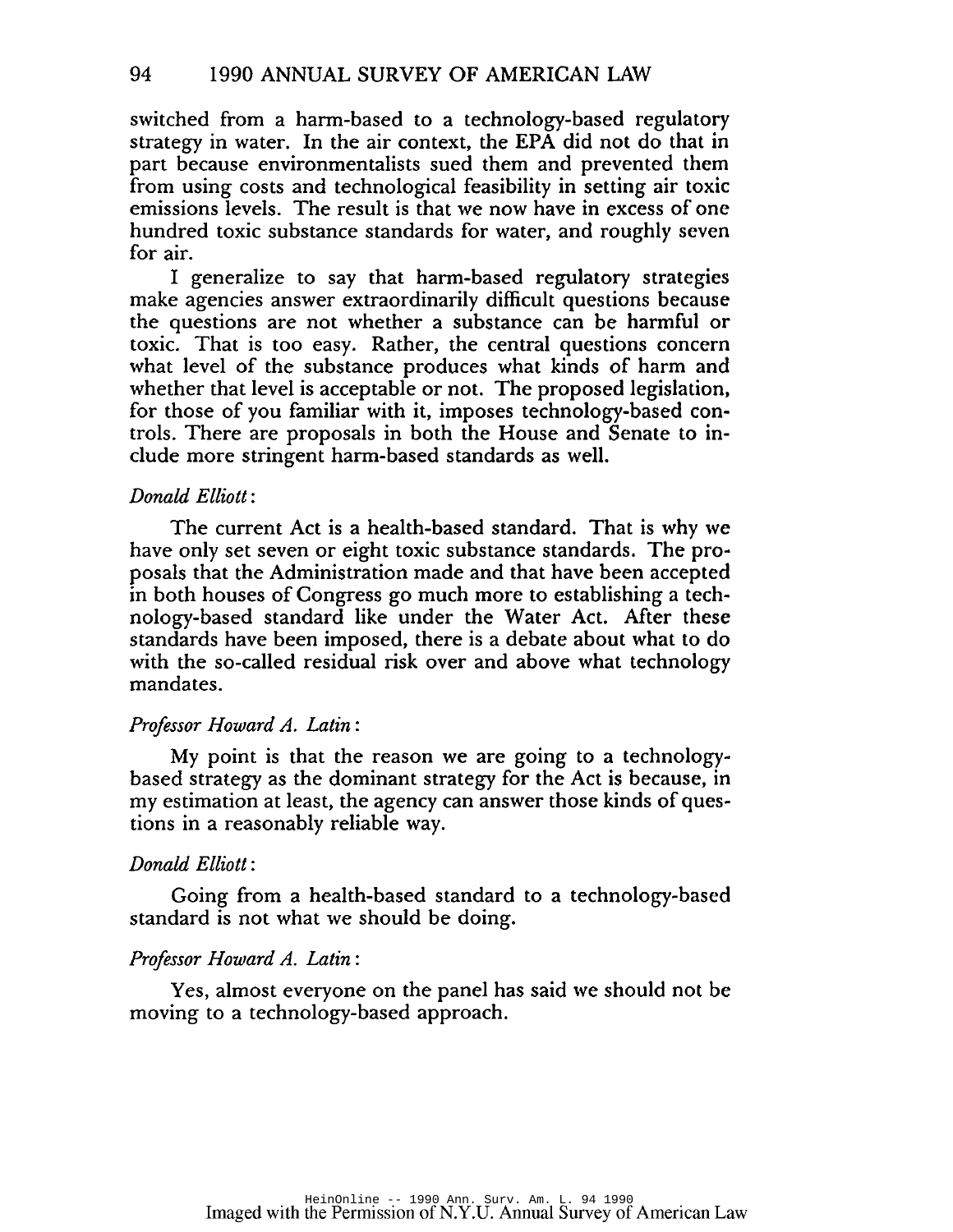switched from a harm-based to a technology-based regulatory strategy in water. In the air context, the EPA did not do that in part because environmentalists sued them and prevented them from using costs and technological feasibility in setting air toxic emissions levels. The result is that we now have in excess of one hundred toxic substance standards for water, and roughly seven for air.

I generalize to say that harm-based regulatory strategies make agencies answer extraordinarily difficult questions because the questions are not whether a substance can be harmful or toxic. That is too easy. Rather, the central questions concern what level of the substance produces what kinds of harm and whether that level is acceptable or not. The proposed legislation, for those of you familiar with it, imposes technology-based controls. There are proposals in both the House and Senate to include more stringent harm-based standards as well.

# *Donald Elliott:*

The current Act is a health-based standard. That is why we have only set seven or eight toxic substance standards. The proposals that the Administration made and that have been accepted in both houses of Congress go much more to establishing a technology-based standard like under the Water Act. After these standards have been imposed, there is a debate about what to do with the so-called residual risk over and above what technology mandates.

### *Professor Howard A. Latin:*

My point is that the reason we are going to a technologybased strategy as the dominant strategy for the Act is because, in my estimation at least, the agency can answer those kinds of questions in a reasonably reliable way.

## *Donald Elliott:*

Going from a health-based standard to a technology-based standard is not what we should be doing.

### *Professor Howard A. Latin:*

Yes, almost everyone on the panel has said we should not be moving to a technology-based approach.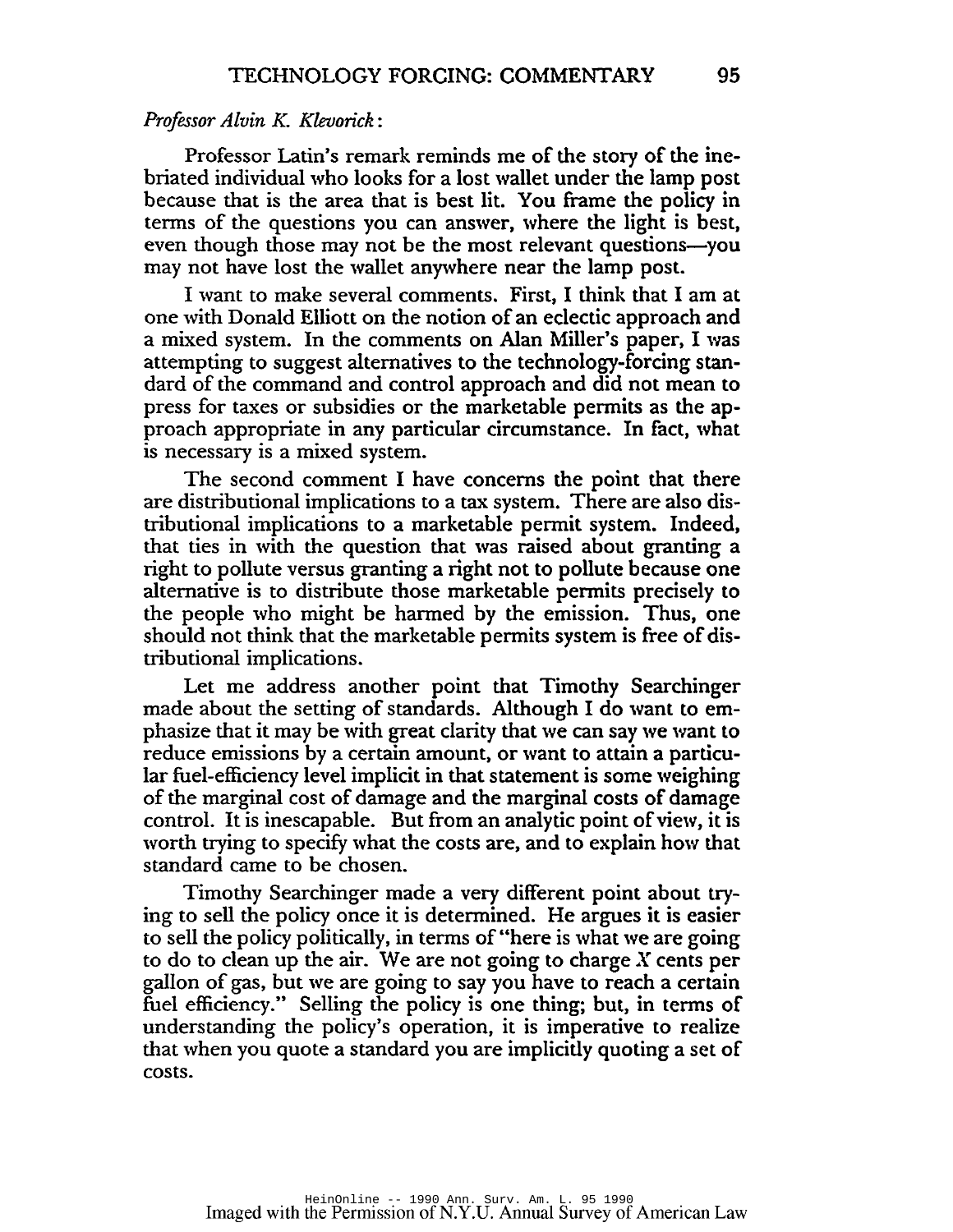#### *Professor Alvin K. Klevorick:*

Professor Latin's remark reminds me of the story of the inebriated individual who looks for a lost wallet under the lamp post because that is the area that is best lit. You frame the policy in terms of the questions you can answer, where the light is best, even though those may not be the most relevant questions-you may not have lost the wallet anywhere near the lamp post.

I want to make several comments. First, I think that I am at one with Donald Elliott on the notion of an eclectic approach and a mixed system. In the comments on Alan Miller's paper, I was attempting to suggest alternatives to the technology-forcing standard of the command and control approach and did not mean to press for taxes or subsidies or the marketable permits as the approach appropriate in any particular circumstance. In fact, what is necessary is a mixed system.

The second comment I have concerns the point that there are distributional implications to a tax system. There are also distributional implications to a marketable permit system. Indeed, that ties in with the question that was raised about granting a right to pollute versus granting a right not to pollute because one alternative is to distribute those marketable permits precisely to the people who might be harmed by the emission. Thus, one should not think that the marketable permits system is free of distributional implications.

Let me address another point that Timothy Searchinger made about the setting of standards. Although I do want to emphasize that it may be with great clarity that we can say we want to reduce emissions by a certain amount, or want to attain a particular fuel-efficiency level implicit in that statement is some weighing of the marginal cost of damage and the marginal costs of damage control. It is inescapable. But from an analytic point of view, it is worth trying to specify what the costs are, and to explain how that standard came to be chosen.

Timothy Searchinger made a very different point about trying to sell the policy once it is determined. He argues it is easier to sell the policy politically, in terms of "here is what we are going to do to clean up the air. We are not going to charge  $X$  cents per gallon of gas, but we are going to say you have to reach a certain fuel efficiency." Selling the policy is one thing; but, in terms of understanding the policy's operation, it is imperative to realize that when you quote a standard you are implicitly quoting a set of costs.